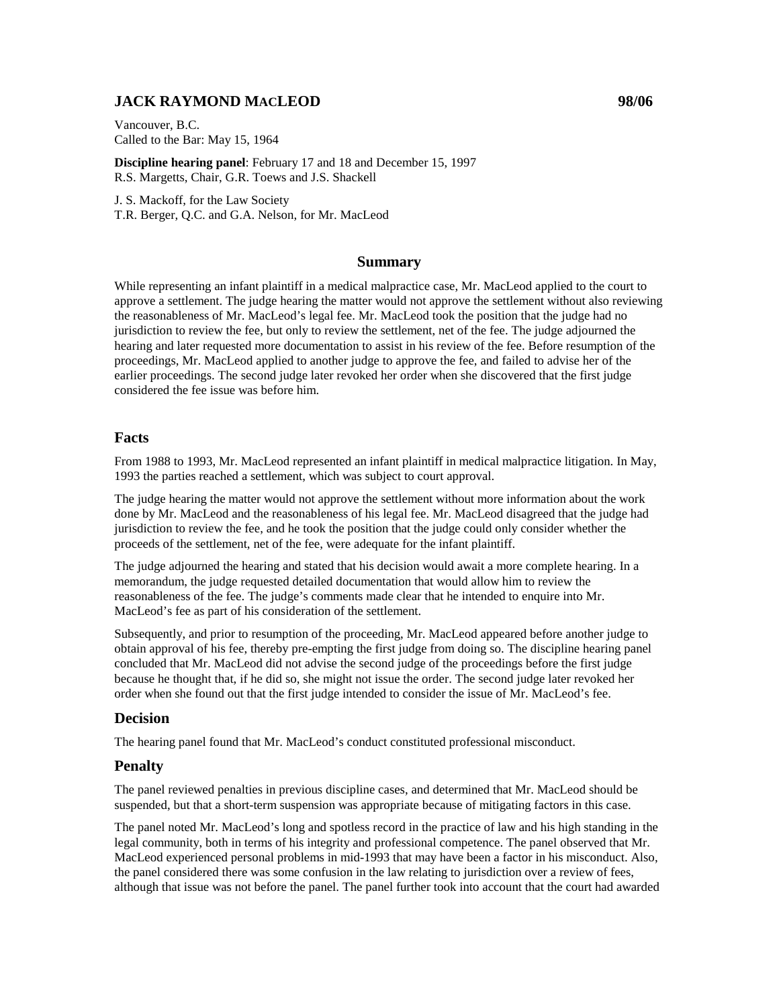# **JACK RAYMOND MACLEOD 98/06**

Vancouver, B.C. Called to the Bar: May 15, 1964

**Discipline hearing panel**: February 17 and 18 and December 15, 1997 R.S. Margetts, Chair, G.R. Toews and J.S. Shackell

J. S. Mackoff, for the Law Society T.R. Berger, Q.C. and G.A. Nelson, for Mr. MacLeod

### **Summary**

While representing an infant plaintiff in a medical malpractice case, Mr. MacLeod applied to the court to approve a settlement. The judge hearing the matter would not approve the settlement without also reviewing the reasonableness of Mr. MacLeod's legal fee. Mr. MacLeod took the position that the judge had no jurisdiction to review the fee, but only to review the settlement, net of the fee. The judge adjourned the hearing and later requested more documentation to assist in his review of the fee. Before resumption of the proceedings, Mr. MacLeod applied to another judge to approve the fee, and failed to advise her of the earlier proceedings. The second judge later revoked her order when she discovered that the first judge considered the fee issue was before him.

## **Facts**

From 1988 to 1993, Mr. MacLeod represented an infant plaintiff in medical malpractice litigation. In May, 1993 the parties reached a settlement, which was subject to court approval.

The judge hearing the matter would not approve the settlement without more information about the work done by Mr. MacLeod and the reasonableness of his legal fee. Mr. MacLeod disagreed that the judge had jurisdiction to review the fee, and he took the position that the judge could only consider whether the proceeds of the settlement, net of the fee, were adequate for the infant plaintiff.

The judge adjourned the hearing and stated that his decision would await a more complete hearing. In a memorandum, the judge requested detailed documentation that would allow him to review the reasonableness of the fee. The judge's comments made clear that he intended to enquire into Mr. MacLeod's fee as part of his consideration of the settlement.

Subsequently, and prior to resumption of the proceeding, Mr. MacLeod appeared before another judge to obtain approval of his fee, thereby pre-empting the first judge from doing so. The discipline hearing panel concluded that Mr. MacLeod did not advise the second judge of the proceedings before the first judge because he thought that, if he did so, she might not issue the order. The second judge later revoked her order when she found out that the first judge intended to consider the issue of Mr. MacLeod's fee.

### **Decision**

The hearing panel found that Mr. MacLeod's conduct constituted professional misconduct.

### **Penalty**

The panel reviewed penalties in previous discipline cases, and determined that Mr. MacLeod should be suspended, but that a short-term suspension was appropriate because of mitigating factors in this case.

The panel noted Mr. MacLeod's long and spotless record in the practice of law and his high standing in the legal community, both in terms of his integrity and professional competence. The panel observed that Mr. MacLeod experienced personal problems in mid-1993 that may have been a factor in his misconduct. Also, the panel considered there was some confusion in the law relating to jurisdiction over a review of fees, although that issue was not before the panel. The panel further took into account that the court had awarded